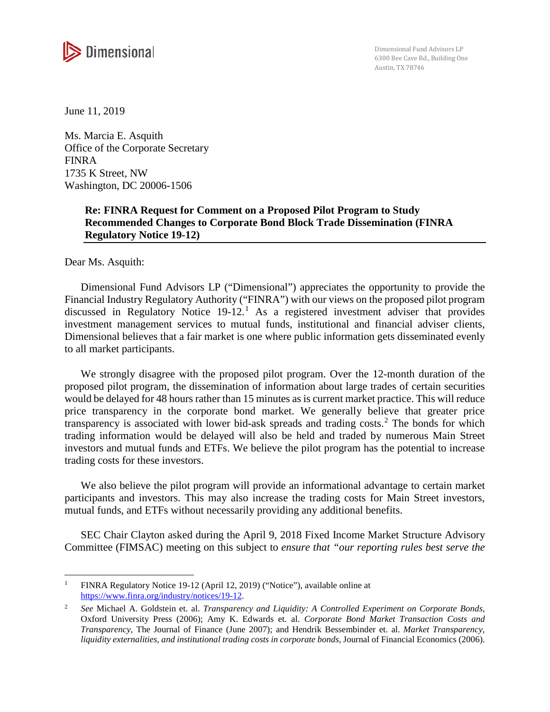

June 11, 2019

Ms. Marcia E. Asquith Office of the Corporate Secretary FINRA 1735 K Street, NW Washington, DC 20006-1506

# **Re: FINRA Request for Comment on a Proposed Pilot Program to Study Recommended Changes to Corporate Bond Block Trade Dissemination (FINRA Regulatory Notice 19-12)**

Dear Ms. Asquith:

l

Dimensional Fund Advisors LP ("Dimensional") appreciates the opportunity to provide the Financial Industry Regulatory Authority ("FINRA") with our views on the proposed pilot program discussed in Regulatory Notice 19-12.<sup>1</sup> As a registered investment adviser that provides investment management services to mutual funds, institutional and financial adviser clients, Dimensional believes that a fair market is one where public information gets disseminated evenly to all market participants.

We strongly disagree with the proposed pilot program. Over the 12-month duration of the proposed pilot program, the dissemination of information about large trades of certain securities would be delayed for 48 hours rather than 15 minutes as is current market practice. This will reduce price transparency in the corporate bond market. We generally believe that greater price transparency is associated with lower bid-ask spreads and trading costs.<sup>2</sup> The bonds for which trading information would be delayed will also be held and traded by numerous Main Street investors and mutual funds and ETFs. We believe the pilot program has the potential to increase trading costs for these investors.

We also believe the pilot program will provide an informational advantage to certain market participants and investors. This may also increase the trading costs for Main Street investors, mutual funds, and ETFs without necessarily providing any additional benefits.

SEC Chair Clayton asked during the April 9, 2018 Fixed Income Market Structure Advisory Committee (FIMSAC) meeting on this subject to *ensure that "our reporting rules best serve the* 

<sup>&</sup>lt;sup>1</sup> FINRA Regulatory Notice 19-12 (April 12, 2019) ("Notice"), available online at https://www.finra.org/industry/notices/19-12.

<sup>2</sup> *See* Michael A. Goldstein et. al. *Transparency and Liquidity: A Controlled Experiment on Corporate Bonds,* Oxford University Press (2006); Amy K. Edwards et. al. *Corporate Bond Market Transaction Costs and Transparency,* The Journal of Finance (June 2007); and Hendrik Bessembinder et. al. *Market Transparency, liquidity externalities, and institutional trading costs in corporate bonds*, Journal of Financial Economics (2006).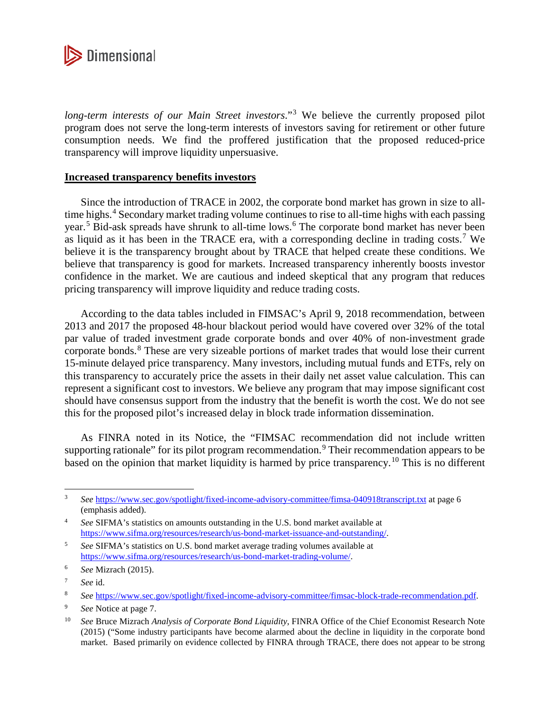

*long-term interests of our Main Street investors*."<sup>3</sup> We believe the currently proposed pilot program does not serve the long-term interests of investors saving for retirement or other future consumption needs. We find the proffered justification that the proposed reduced-price transparency will improve liquidity unpersuasive.

## **Increased transparency benefits investors**

Since the introduction of TRACE in 2002, the corporate bond market has grown in size to alltime highs.<sup>4</sup> Secondary market trading volume continues to rise to all-time highs with each passing year.<sup>5</sup> Bid-ask spreads have shrunk to all-time lows.<sup>6</sup> The corporate bond market has never been as liquid as it has been in the TRACE era, with a corresponding decline in trading costs.<sup>7</sup> We believe it is the transparency brought about by TRACE that helped create these conditions. We believe that transparency is good for markets. Increased transparency inherently boosts investor confidence in the market. We are cautious and indeed skeptical that any program that reduces pricing transparency will improve liquidity and reduce trading costs.

According to the data tables included in FIMSAC's April 9, 2018 recommendation, between 2013 and 2017 the proposed 48-hour blackout period would have covered over 32% of the total par value of traded investment grade corporate bonds and over 40% of non-investment grade corporate bonds.<sup>8</sup> These are very sizeable portions of market trades that would lose their current 15-minute delayed price transparency. Many investors, including mutual funds and ETFs, rely on this transparency to accurately price the assets in their daily net asset value calculation. This can represent a significant cost to investors. We believe any program that may impose significant cost should have consensus support from the industry that the benefit is worth the cost. We do not see this for the proposed pilot's increased delay in block trade information dissemination.

As FINRA noted in its Notice, the "FIMSAC recommendation did not include written supporting rationale" for its pilot program recommendation.<sup>9</sup> Their recommendation appears to be based on the opinion that market liquidity is harmed by price transparency.<sup>10</sup> This is no different

 $\overline{a}$ 

<sup>3</sup> *See* https://www.sec.gov/spotlight/fixed-income-advisory-committee/fimsa-040918transcript.txt at page 6 (emphasis added).

<sup>4</sup> *See* SIFMA's statistics on amounts outstanding in the U.S. bond market available at https://www.sifma.org/resources/research/us-bond-market-issuance-and-outstanding/.

<sup>5</sup> *See* SIFMA's statistics on U.S. bond market average trading volumes available at https://www.sifma.org/resources/research/us-bond-market-trading-volume/.

<sup>6</sup>  *See* Mizrach (2015).

<sup>7</sup> *See* id.

<sup>8</sup> *See* https://www.sec.gov/spotlight/fixed-income-advisory-committee/fimsac-block-trade-recommendation.pdf.

<sup>9</sup>  *See* Notice at page 7.

<sup>10</sup> *See* Bruce Mizrach *Analysis of Corporate Bond Liquidity*, FINRA Office of the Chief Economist Research Note (2015) ("Some industry participants have become alarmed about the decline in liquidity in the corporate bond market. Based primarily on evidence collected by FINRA through TRACE, there does not appear to be strong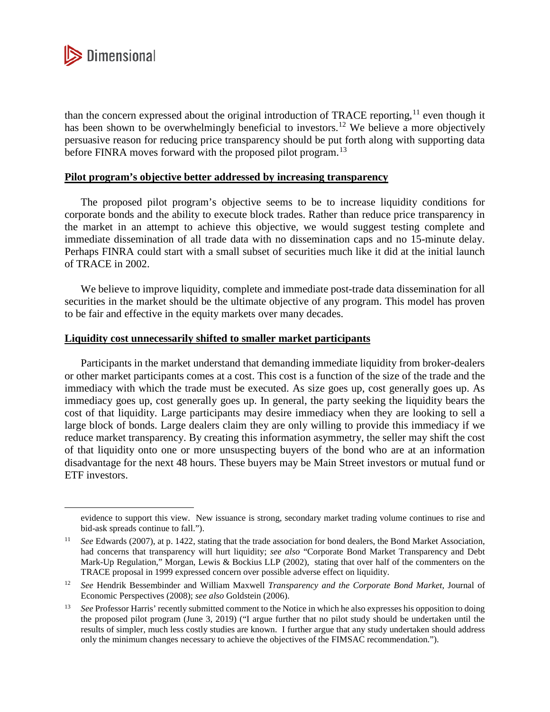

l

than the concern expressed about the original introduction of TRACE reporting,<sup>11</sup> even though it has been shown to be overwhelmingly beneficial to investors.<sup>12</sup> We believe a more objectively persuasive reason for reducing price transparency should be put forth along with supporting data before FINRA moves forward with the proposed pilot program.<sup>13</sup>

### **Pilot program's objective better addressed by increasing transparency**

The proposed pilot program's objective seems to be to increase liquidity conditions for corporate bonds and the ability to execute block trades. Rather than reduce price transparency in the market in an attempt to achieve this objective, we would suggest testing complete and immediate dissemination of all trade data with no dissemination caps and no 15-minute delay. Perhaps FINRA could start with a small subset of securities much like it did at the initial launch of TRACE in 2002.

We believe to improve liquidity, complete and immediate post-trade data dissemination for all securities in the market should be the ultimate objective of any program. This model has proven to be fair and effective in the equity markets over many decades.

### **Liquidity cost unnecessarily shifted to smaller market participants**

Participants in the market understand that demanding immediate liquidity from broker-dealers or other market participants comes at a cost. This cost is a function of the size of the trade and the immediacy with which the trade must be executed. As size goes up, cost generally goes up. As immediacy goes up, cost generally goes up. In general, the party seeking the liquidity bears the cost of that liquidity. Large participants may desire immediacy when they are looking to sell a large block of bonds. Large dealers claim they are only willing to provide this immediacy if we reduce market transparency. By creating this information asymmetry, the seller may shift the cost of that liquidity onto one or more unsuspecting buyers of the bond who are at an information disadvantage for the next 48 hours. These buyers may be Main Street investors or mutual fund or ETF investors.

evidence to support this view. New issuance is strong, secondary market trading volume continues to rise and bid-ask spreads continue to fall.").

<sup>11</sup> *See* Edwards (2007), at p. 1422, stating that the trade association for bond dealers, the Bond Market Association, had concerns that transparency will hurt liquidity; *see also* "Corporate Bond Market Transparency and Debt Mark-Up Regulation," Morgan, Lewis & Bockius LLP (2002), stating that over half of the commenters on the TRACE proposal in 1999 expressed concern over possible adverse effect on liquidity.

<sup>12</sup> *See* Hendrik Bessembinder and William Maxwell *Transparency and the Corporate Bond Market*, Journal of Economic Perspectives (2008); *see also* Goldstein (2006).

<sup>&</sup>lt;sup>13</sup> See Professor Harris' recently submitted comment to the Notice in which he also expresses his opposition to doing the proposed pilot program (June 3, 2019) ("I argue further that no pilot study should be undertaken until the results of simpler, much less costly studies are known. I further argue that any study undertaken should address only the minimum changes necessary to achieve the objectives of the FIMSAC recommendation.").